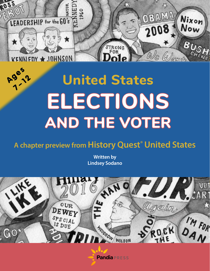

# **United States ELECTIONS AND THE VOTER**

## **A chapter preview from History Quest® United States**

**Written by Lindsey Sodano**



**Pandia** PRESS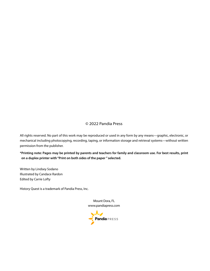#### © 2022 Pandia Press

All rights reserved. No part of this work may be reproduced or used in any form by any means—graphic, electronic, or mechanical including photocopying, recording, taping, or information storage and retrieval systems—without written permission from the publisher.

**\*Printing note: Pages may be printed by parents and teachers for family and classroom use. For best results, print on a duplex printer with "Print on both sides of the paper " selected.** 

Written by Lindsey Sodano Illustrated by Candace Rardon Edited by Carrie Lofty

History Quest is a trademark of Pandia Press, Inc.

Mount Dora, FL [www.pandiapress.com](https://www.pandiapress.com)

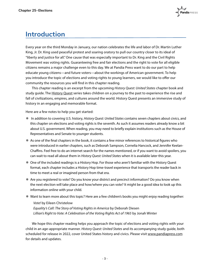### **Introduction**

Every year on the third Monday in January, our nation celebrates the life and labor of Dr. Martin Luther King, Jr. Dr. King used peaceful protest and soaring oratory to pull our country closer to its ideal of "liberty and justice for all." One cause that was especially important to Dr. King and the Civil Rights Movement was voting rights. Guaranteeing free and fair elections and the right to vote for all eligible citizens remains a major challenge even to this day. We at Pandia Press want to do our part to help educate young citizens—and future voters—about the workings of American government. To help you introduce the topic of elections and voting rights to young learners, we would like to offer our community the resources you will find in this chapter reading.

 This chapter reading is an excerpt from the upcoming *History Quest: United States* chapter book and study guide. The [History Quest s](https://www.pandiapress.com/history-quest/)eries takes children on a journey to the past to experience the rise and fall of civilizations, empires, and cultures around the world. History Quest presents an immersive study of history in an engaging and memorable format.

Here are a few notes to help you get started:

- ¯ In addition to covering U.S. history, *History Quest: United States* contains seven chapters about civics, and this chapter on elections and voting rights is the seventh. As such it assumes readers already know a bit about U.S. government. When reading, you may need to briefly explain institutions such as the House of Representatives and Senate to younger students.
- ¯ As one of the final chapters in the book, it contains a few minor references to historical figures who were introduced in earlier chapters, such as Deborah Sampson, Cornelia Hancock, and Jennifer Keelan-Chaffins. Feel free to do an internet search for the names mentioned, or if you want to avoid spoilers, you can wait to read all about them in *History Quest: United States* when it is available later this year.
- ¯ One of the included readings is a History Hop. For those who aren't familiar with the History Quest format, each chapter includes a History Hop time-travel experience that transports the reader back in time to meet a real or imagined person from that era.
- ¯ Are you registered to vote? Do you know your district and precinct information? Do you know when the next election will take place and how/where you can vote? It might be a good idea to look up this information online with your child.
- ¯ Want to learn more about this topic? Here are a few children's books you might enjoy reading together:

*Vote!* [by Eileen Christelow](https://www.amazon.com/dp/1328499227/?tag=pandpres-20) *[Equality's Call: The Story of Voting Rights in America](https://www.amazon.com/dp/1534439587/?tag=pandpres-20)* by Deborah Diesen *[Lillian's Right to Vote: A Celebration of the Voting Rights Act of 1965](https://www.amazon.com/dp/0385390289/?tag=pandpres-20)* by Jonah Winter

 We hope this chapter reading helps you approach the topic of elections and voting rights with your child in an age-appropriate manner. *History Quest: United States* and its accompanying study guide, both scheduled for release in 2022, cover United States history and civics. Please visit [www.pandiapress.com](https://www.pandiapress.com) for details and updates.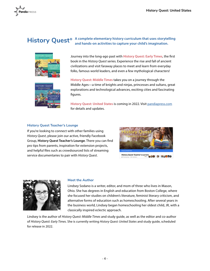

#### **History Quest® A complete elementary history curriculum that uses storytelling and hands-on activities to capture your child's imagination.**





Journey into the long-ago past with **[History Quest: Early Times](https://www.pandiapress.com/history-quest/)**, the first book in the *History Quest* series. Experience the rise and fall of ancient civilizations and visit faraway places to meet and learn from everyday folks, famous world leaders, and even a few mythological characters!

**[History Quest: Middle Times](https://www.pandiapress.com/history-quest/)** takes you on a journey through the Middle Ages—a time of knights and ninjas, princesses and sultans, great explorations and technological advances, exciting cities and fascinating figures.

**History Quest: United States** is coming in 202[2. Visit pandiapress.com](https://www.pandiapress.com) for details and updates.

#### **History Quest Teacher's Lounge**

If you're looking to connect with other families using *History Quest*, please join our active, friendly Facebook Group, **History Quest Teacher's Lounge**. There you can find pro tips from parents, inspiration for extension projects, [and helpful files such as crowdsourced lists of streaming](https://www.facebook.com/groups/historyquest)  service documentaries to pair with *History Quest*.





#### **Meet the Author**

Lindsey Sodano is a writer, editor, and mom of three who lives in Mason, Ohio. She has degrees in English and education from Boston College, where she focused her studies on children's literature, feminist literary criticism, and alternative forms of education such as homeschooling. After several years in the business world, Lindsey began homeschooling her oldest child, JR, with a classically inspired eclectic approach.

Lindsey is the author of *History Quest: Middle Times* and study guide, as well as the editor and co-author of *History Quest: Early Times*. She is currently writing *History Quest: United States* and study guide, scheduled for release in 2022.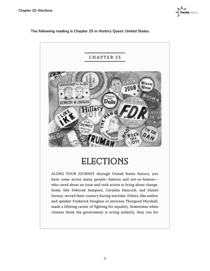

**The following reading is Chapter 25 in** *History Quest: United States***.** 



## **ELECTIONS**

ALONG YOUR JOURNEY through United States history, you have come across many people—famous and not-so-famous who cared about an issue and took action to bring about change. Some, like Deborah Sampson, Cornelia Hancock, and Daniel Inouye, served their country during wartime. Others, like author and speaker Frederick Douglass or attorney Thurgood Marshall, made a lifelong career of fighting for equality. Sometimes when citizens think the government is acting unfairly, they run for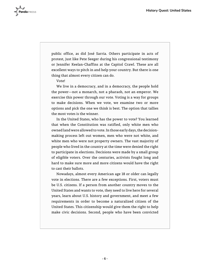

public office, as did José Sarria. Others participate in acts of protest, just like Pete Seeger during his congressional testimony or Jennifer Keelan-Chaffins at the Capitol Crawl. These are all excellent ways to pitch in and help your country. But there is one thing that almost every citizen can do.

Vote!

We live in a democracy, and in a democracy, the people hold the power—not a monarch, not a pharaoh, not an emperor. We exercise this power through our vote. Voting is a way for groups to make decisions. When we vote, we examine two or more options and pick the one we think is best. The option that tallies the most votes is the winner.

In the United States, who has the power to vote? You learned that when the Constitution was ratified, only white men who owned land were allowed to vote. In those early days, the decisionmaking process left out women, men who were not white, and white men who were not property owners. The vast majority of people who lived in the country at the time were denied the right to participate in elections. Decisions were made by a small group of eligible voters. Over the centuries, activists fought long and hard to make sure more and more citizens would have the right to cast their ballots.

Nowadays, almost every American age 18 or older can legally vote in elections. There are a few exceptions. First, voters must be U.S. citizens. If a person from another country moves to the United States and wants to vote, they need to live here for several years, learn about U.S. history and government, and meet a few requirements in order to become a naturalized citizen of the United States. This citizenship would give them the right to help make civic decisions. Second, people who have been convicted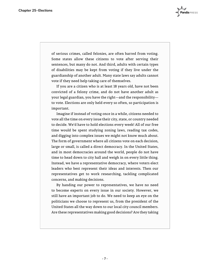of serious crimes, called felonies, are often barred from voting. Some states allow these citizens to vote after serving their sentences, but many do not. And third, adults with certain types of disabilities may be kept from voting if they live under the guardianship of another adult. Many state laws say adults cannot vote if they need help taking care of themselves.

If you are a citizen who is at least 18 years old, have not been convicted of a felony crime, and do not have another adult as your legal guardian, you have the right—and the responsibility to vote. Elections are only held every so often, so participation is important.

Imagine if instead of voting once in a while, citizens needed to vote all the time on every issue their city, state, or country needed to decide. We'd have to hold elections every week! All of our free time would be spent studying zoning laws, reading tax codes, and digging into complex issues we might not know much about. The form of government where all citizens vote on each decision, large or small, is called a direct democracy. In the United States, and in most democracies around the world, people do not have time to head down to city hall and weigh in on every little thing. Instead, we have a representative democracy, where voters elect leaders who best represent their ideas and interests. Then our representatives get to work researching, tackling complicated concerns, and making decisions.

By handing our power to representatives, we have no need to become experts on every issue in our society. However, we still have an important job to do. We need to keep an eye on the politicians we choose to represent us, from the president of the United States all the way down to our local city council members. Are these representatives making good decisions? Are they taking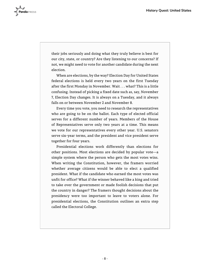

their jobs seriously and doing what they truly believe is best for our city, state, or country? Are they listening to our concerns? If not, we might need to vote for another candidate during the next election.

When are elections, by the way? Election Day for United States federal elections is held every two years on the first Tuesday after the first Monday in November. Wait . . . what? This is a little confusing. Instead of picking a fixed date such as, say, November 7, Election Day changes. It is always on a Tuesday, and it always falls on or between November 2 and November 8.

Every time you vote, you need to research the representatives who are going to be on the ballot. Each type of elected official serves for a different number of years. Members of the House of Representatives serve only two years at a time. This means we vote for our representatives every other year. U.S. senators serve six-year terms, and the president and vice president serve together for four years.

Presidential elections work differently than elections for other positions. Most elections are decided by popular vote—a simple system where the person who gets the most votes wins. When writing the Constitution, however, the framers worried whether average citizens would be able to elect a qualified president. What if the candidate who earned the most votes was unfit for office? What if the winner behaved like a king and tried to take over the government or made foolish decisions that put the country in danger? The framers thought decisions about the presidency were too important to leave to voters alone. For presidential elections, the Constitution outlines an extra step called the Electoral College.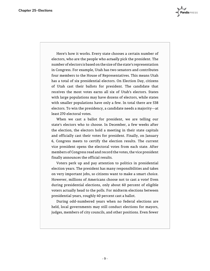Here's how it works. Every state chooses a certain number of electors, who are the people who *actually* pick the president. The number of electors is based on the size of the state's representation in Congress. For example, Utah has two senators and contributes four members to the House of Representatives. This means Utah has a total of six presidential electors. On Election Day, citizens of Utah cast their ballots for president. The candidate that receives the most votes earns all six of Utah's electors. States with large populations may have dozens of electors, while states with smaller populations have only a few. In total there are 538 electors. To win the presidency, a candidate needs a majority—at least 270 electoral votes.

When we cast a ballot for president, we are telling our state's electors who to choose. In December, a few weeks after the election, the electors hold a meeting in their state capitals and officially cast their votes for president. Finally, on January 6, Congress meets to certify the election results. The current vice president opens the electoral votes from each state. After members of Congress read and record the votes, the vice president finally announces the official results.

Voters perk up and pay attention to politics in presidential election years. The president has many responsibilities and takes on very important jobs, so citizens want to make a smart choice. However, millions of Americans choose not to cast a vote! Even during presidential elections, only about 60 percent of eligible voters actually head to the polls. For midterm elections between presidential years, roughly 40 percent cast a ballot.

During odd-numbered years when no federal elections are held, local governments may still conduct elections for mayors, judges, members of city councils, and other positions. Even fewer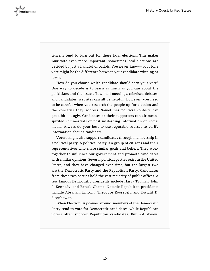

citizens tend to turn out for these local elections. This makes *your* vote even more important. Sometimes local elections are decided by just a handful of ballots. You never know—your lone vote might be the difference between your candidate winning or losing!

How do you choose which candidate should earn your vote? One way to decide is to learn as much as you can about the politicians and the issues. Townhall meetings, televised debates, and candidates' websites can all be helpful. However, you need to be careful when you research the people up for election and the concerns they address. Sometimes political contests can get a bit . . . ugly. Candidates or their supporters can air meanspirited commercials or post misleading information on social media. Always do your best to use reputable sources to verify information about a candidate.

Voters might also support candidates through membership in a political party. A political party is a group of citizens and their representatives who share similar goals and beliefs. They work together to influence our government and promote candidates with similar opinions. Several political parties exist in the United States, and they have changed over time, but the largest two are the Democratic Party and the Republican Party. Candidates from these two parties hold the vast majority of public offices. A few famous Democratic presidents include Harry Truman, John F. Kennedy, and Barack Obama. Notable Republican presidents include Abraham Lincoln, Theodore Roosevelt, and Dwight D. Eisenhower.

When Election Day comes around, members of the Democratic Party tend to vote for Democratic candidates, while Republican voters often support Republican candidates. But not always.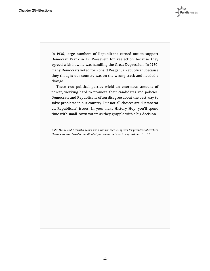In 1936, large numbers of Republicans turned out to support Democrat Franklin D. Roosevelt for reelection because they agreed with how he was handling the Great Depression. In 1980, many Democrats voted for Ronald Reagan, a Republican, because they thought our country was on the wrong track and needed a change.

These two political parties wield an enormous amount of power, working hard to promote their candidates and policies. Democrats and Republicans often disagree about the best way to solve problems in our country. But not all choices are "Democrat vs. Republican" issues. In your next History Hop, you'll spend time with small-town voters as they grapple with a big decision.

*Note: Maine and Nebraska do not use a winner-take-all system for presidential electors. Electors are won based on candidates' performances in each congressional district.*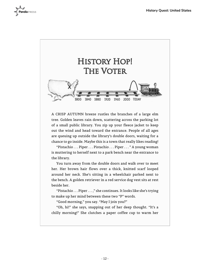



A CRISP AUTUMN breeze rustles the branches of a large elm tree. Golden leaves rain down, scattering across the parking lot of a small public library. You zip up your fleece jacket to keep out the wind and head toward the entrance. People of all ages are queuing up outside the library's double doors, waiting for a chance to go inside. Maybe this is a town that really likes reading!

"Pistachio . . . Piper . . . Pistachio . . . Piper . . . " A young woman is muttering to herself next to a park bench near the entrance to the library.

You turn away from the double doors and walk over to meet her. Her brown hair flows over a thick, knitted scarf looped around her neck. She's sitting in a wheelchair parked next to the bench. A golden retriever in a red service dog vest sits at rest beside her.

"Pistachio . . . Piper . . . ," she continues. It looks like she's trying to make up her mind between these two "P" words.

"Good morning," you say. "May I join you?"

"Oh, hi!" she says, snapping out of her deep thought. "It's a chilly morning!" She clutches a paper coffee cup to warm her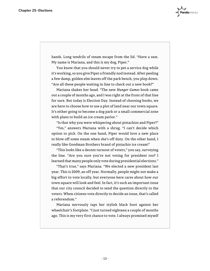hands. Long tendrils of steam escape from the lid. "Have a seat. My name is Mariana, and this is my dog, Piper."

You know that you should never try to pet a service dog while it's working, so you give Piper a friendly nod instead. After peeling a few damp, golden elm leaves off the park bench, you plop down. "Are all these people waiting in line to check out a new book?"

Mariana shakes her head. "The new *Hunger Games* book came out a couple of months ago, and I was right at the front of that line for sure. But today is Election Day. Instead of choosing books, we are here to choose how to use a plot of land near our town square. It's either going to become a dog park or a small commercial zone with plans to build an ice cream parlor."

"Is that why you were whispering about pistachios and Piper?"

"Yes," answers Mariana with a shrug. "I can't decide which option to pick. On the one hand, Piper would love a new place to blow off some steam when she's off duty. On the other hand, I really like Goodman Brothers brand of pistachio ice cream!"

"This looks like a decent turnout of voters," you say, surveying the line. "Are you sure you're not voting for president too? I learned that many people only vote during presidential elections."

"That's true," says Mariana. "We elected a new president last year. This is 2009, an off year. Normally, people might not make a big effort to vote locally, but everyone here cares about how our town square will look and feel. In fact, it's such an important issue that our city council decided to send the question directly to the voters. When citizens vote directly to decide an issue, that's called a referendum."

Mariana nervously taps her stylish black boot against her wheelchair's footplate. "I just turned eighteen a couple of months ago. This is my very first chance to vote. I always promised myself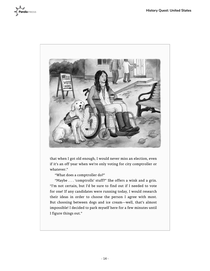



that when I got old enough, I would never miss an election, even if it's an off year when we're only voting for city comptroller or whatever."

"What does a comptroller do?"

"Maybe . . . 'comptrolls' stuff?" She offers a wink and a grin. "I'm not certain, but I'd be sure to find out if I needed to vote for one! If any candidates were running today, I would research their ideas in order to choose the person I agree with most. But choosing between dogs and ice cream—well, that's almost impossible! I decided to park myself here for a few minutes until I figure things out."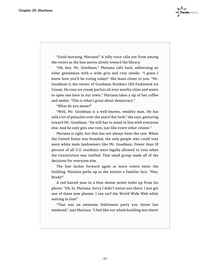"Good morning, Mariana!" A jolly voice calls out from among the voters as the line moves slowly toward the library.

"Oh, hey, Mr. Goodman," Mariana calls back, addressing an older gentleman with a wide grin and rosy cheeks. "I guess I know how you'll be voting today!" She leans closer to you. "Mr. Goodman is the owner of Goodman Brothers Old-Fashioned Ice Cream. He runs ice cream parlors all over nearby cities and wants to open one here in our town." Mariana takes a sip of her coffee and smiles. "This is what's great about democracy."

"What do you mean?"

"Well, Mr. Goodman is a well-known, wealthy man. He has sold a lot of pistachio over the years! But look," she says, gesturing toward Mr. Goodman. "He still has to stand in line with everyone else. And he only gets one vote, just like every other citizen."

Mariana is right, but that has not always been the case. When the United States was founded, the only people who could vote were white male landowners like Mr. Goodman. Fewer than 10 percent of all U.S. residents were legally allowed to vote when the Constitution was ratified. That small group made all of the decisions for everyone else.

The line inches forward again as more voters enter the building. Mariana perks up as she notices a familiar face. "Hey, Brady!"

A red-haired man in a blue denim jacket looks up from his phone. "Oh, hi, Mariana. Sorry I didn't notice you there. I just got one of these new phones. I can surf the World Wide Web while waiting in line!"

"That was an awesome Halloween party you threw last weekend," says Mariana. "I feel like our whole building was there!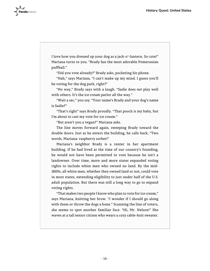

I love how you dressed up your dog as a jack-o'-lantern. So cute!" Mariana turns to you. "Brady has the most adorable Pomeranian puffball."

"Did you vote already?" Brady asks, pocketing his phone.

"Nah," says Mariana. "I can't make up my mind. I guess you'll be voting for the dog park, right?"

"No way," Brady says with a laugh. "Sadie does *not* play well with others. It's the ice cream parlor all the way."

"Wait a sec," you say. "Your name's Brady and your dog's name is Sadie?"

"That's right" says Brady proudly. "That pooch is my baby, but I'm about to cast my vote for ice cream."

"But aren't you a vegan?" Mariana asks.

The line moves forward again, sweeping Brady toward the double doors. Just as he enters the building, he calls back, "Two words, Mariana: raspberry sorbet!"

Mariana's neighbor Brady is a renter in her apartment building. If he had lived at the time of our country's founding, he would not have been permitted to vote because he isn't a landowner. Over time, more and more states expanded voting rights to include white men who owned no land. By the mid-1800s, all white men, whether they owned land or not, could vote in most states, extending eligibility to just under half of the U.S. adult population. But there was still a long way to go to expand voting rights.

"That makes two people I know who plan to vote for ice cream," says Mariana, knitting her brow. "I wonder if I should go along with them or throw the dogs a bone." Scanning the line of voters, she seems to spot another familiar face. "Hi, Mr. Nelson!" She waves at a tall senior citizen who wears a cozy cable-knit sweater.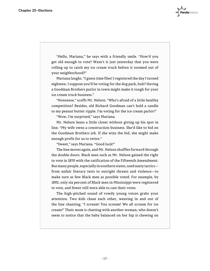"Hello, Mariana," he says with a friendly smile. "How'd you get old enough to vote? Wasn't it just yesterday that you were rolling up to catch my ice cream truck before it zoomed out of your neighborhood?"

Mariana laughs. "I guess time flies! I registered the day I turned eighteen. I suppose you'll be voting for the dog park, huh? Having a Goodman Brothers parlor in town might make it tough for your ice cream truck business."

"Nonsense," scoffs Mr. Nelson. "Who's afraid of a little healthy competition? Besides, old Richard Goodman can't hold a candle to my peanut butter ripple. I'm voting for the ice cream parlor!"

"Wow, I'm surprised," says Mariana.

Mr. Nelson leans a little closer without giving up his spot in line. "My wife owns a construction business. She'd like to bid on the Goodman Brothers job. If she wins the bid, she might make enough profit for us to retire."

"Sweet," says Mariana. "Good luck!"

The line moves again, and Mr. Nelson shuffles forward through the double doors. Black men such as Mr. Nelson gained the right to vote in 1870 with the ratification of the Fifteenth Amendment. But many people, especially in southern states, used nasty tactics from unfair literacy tests to outright threats and violence—to make sure as few Black men as possible voted. For example, by 1892, only six percent of Black men in Mississippi were registered to vote, and fewer still were able to cast their votes.

The high-pitched sound of rowdy young voices grabs your attention. Two kids chase each other, weaving in and out of the line chanting, "I scream! You scream! We all scream for ice cream!" Their mom is chatting with another woman, who doesn't seem to notice that the baby balanced on her hip is chewing on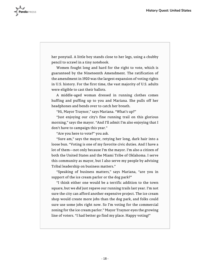

her ponytail. A little boy stands close to her legs, using a chubby pencil to scrawl in a tiny notebook.

Women fought long and hard for the right to vote, which is guaranteed by the Nineteenth Amendment. The ratification of the amendment in 1920 was the largest expansion of voting rights in U.S. history. For the first time, the vast majority of U.S. adults were eligible to cast their ballots.

A middle-aged woman dressed in running clothes comes huffing and puffing up to you and Mariana. She pulls off her headphones and bends over to catch her breath.

"Hi, Mayor Traynor," says Mariana. "What's up?"

"Just enjoying our city's fine running trail on this glorious morning," says the mayor. "And I'll admit I'm also enjoying that I don't have to campaign this year."

"Are you here to vote?" you ask.

"Sure am," says the mayor, retying her long, dark hair into a loose bun. "Voting is one of my favorite civic duties. And I have a lot of them—not only because I'm the mayor. I'm also a citizen of both the United States and the Miami Tribe of Oklahoma. I serve this community as mayor, but I also serve my people by advising Tribal leadership on business matters."

"Speaking of business matters," says Mariana, "are you in support of the ice cream parlor or the dog park?"

"I think either one would be a terrific addition to the town square, but we *did* just repave our running trails last year. I'm not sure the city can afford another expensive project. The ice cream shop would create more jobs than the dog park, and folks could sure use some jobs right now. So I'm voting for the commercial zoning for the ice cream parlor." Mayor Traynor eyes the growing line of voters. "I had better go find my place. Happy voting!"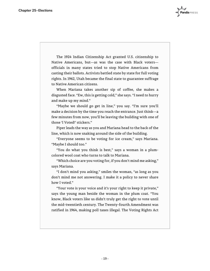The 1924 Indian Citizenship Act granted U.S. citizenship to Native Americans, but—as was the case with Black voters officials in many states tried to stop Native Americans from casting their ballots. Activists battled state by state for full voting rights. In 1962, Utah became the final state to guarantee suffrage to Native American citizens.

When Mariana takes another sip of coffee, she makes a disgusted face. "Ew, this is getting cold," she says. "I need to hurry and make up my mind."

"Maybe we should go get in line," you say. "I'm sure you'll make a decision by the time you reach the entrance. Just think—a few minutes from now, you'll be leaving the building with one of those 'I Voted!' stickers."

Piper leads the way as you and Mariana head to the back of the line, which is now snaking around the side of the building.

"Everyone seems to be voting for ice cream," says Mariana. "Maybe I should too."

"You do what you think is best," says a woman in a plumcolored wool coat who turns to talk to Mariana.

"Which choice are you voting for, if you don't mind me asking," says Mariana.

"I don't mind you asking," smiles the woman, "as long as you don't mind me not answering. I make it a policy to never share how I voted."

"Your vote is your voice and it's your right to keep it private," says the young man beside the woman in the plum coat. "You know, Black voters like us didn't truly get the right to vote until the mid-twentieth century. The Twenty-fourth Amendment was ratified in 1964, making poll taxes illegal. The Voting Rights Act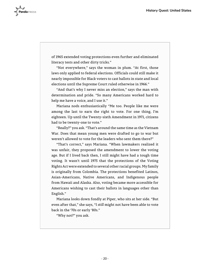

of 1965 extended voting protections even further and eliminated literacy tests and other dirty tricks."

"Not everywhere," says the woman in plum. "At first, those laws only applied to federal elections. Officials could still make it nearly impossible for Black voters to cast ballots in state and local elections until the Supreme Court ruled otherwise in 1966."

"And that's why I never miss an election," says the man with determination and pride. "So many Americans worked hard to help me have a voice, and I use it."

Mariana nods enthusiastically "Me too. People like me were among the last to earn the right to vote. For one thing, I'm eighteen. Up until the Twenty-sixth Amendment in 1971, citizens had to be twenty-one to vote."

"Really?" you ask. "That's around the same time as the Vietnam War. Does that mean young men were drafted to go to war but weren't allowed to vote for the leaders who sent them there?"

"That's correct," says Mariana. "When lawmakers realized it was unfair, they proposed the amendment to lower the voting age. But if I lived back then, I still might have had a tough time voting. It wasn't until 1975 that the protections of the Voting Rights Act were extended to several other racial groups. My family is originally from Colombia. The protections benefited Latinos, Asian-Americans, Native Americans, and Indigenous people from Hawaii and Alaska. Also, voting became more accessible for Americans wishing to cast their ballots in languages other than English."

Mariana looks down fondly at Piper, who sits at her side. "But even after that," she says, "I *still* might not have been able to vote back in the '70s or early '80s."

"Why not?" you ask.